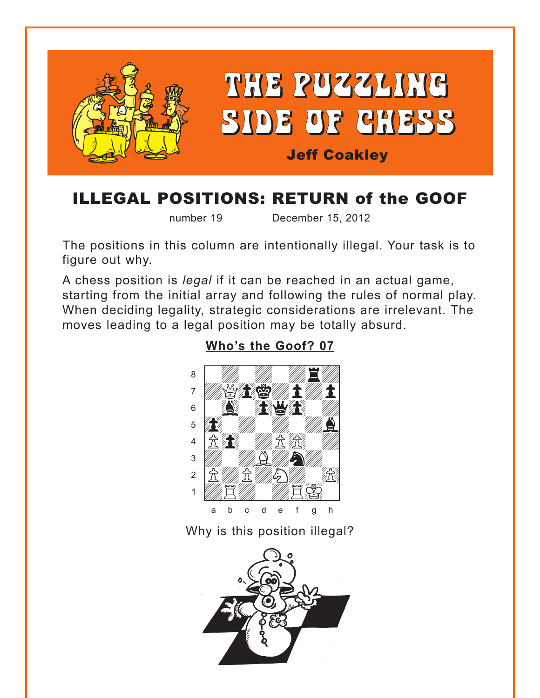<span id="page-0-0"></span>

# ILLEGAL POSITIONS: RETURN of the GOOF

number 19 December 15, 2012

The positions in this column are intentionally illegal. Your task is to figure out why.

A chess position is *legal* if it can be reached in an actual game, starting from the initial array and following the rules of normal play. When deciding legality, strategic considerations are irrelevant. The moves leading to a legal position may be totally absurd.

### **[Who's the Goof? 07](#page-2-0)**



Why is this position illegal?

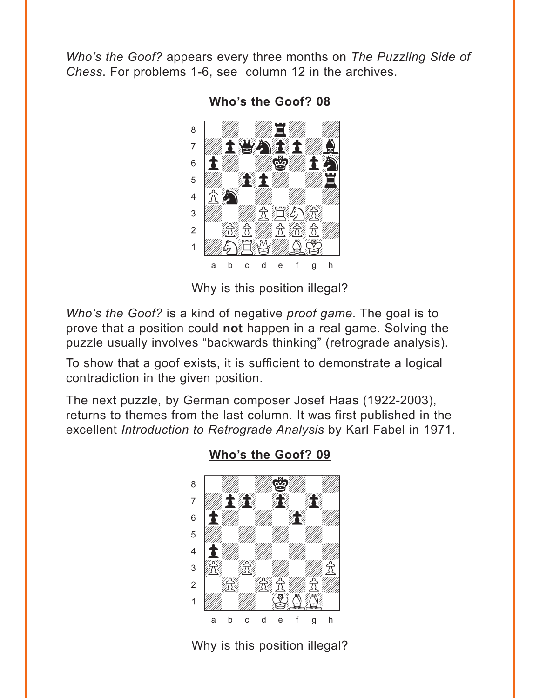<span id="page-1-0"></span>Who's the Goof? appears every three months on The Puzzling Side of Chess. For problems 1-6, see column 12 in the archives.

Who's the Goof? 08



Why is this position illegal?

Who's the Goof? is a kind of negative proof game. The goal is to prove that a position could not happen in a real game. Solving the puzzle usually involves "backwards thinking" (retrograde analysis).

To show that a goof exists, it is sufficient to demonstrate a logical contradiction in the given position.

The next puzzle, by German composer Josef Haas (1922-2003), returns to themes from the last column. It was first published in the excellent Introduction to Retrograde Analysis by Karl Fabel in 1971.



#### Who's the Goof? 09

Why is this position illegal?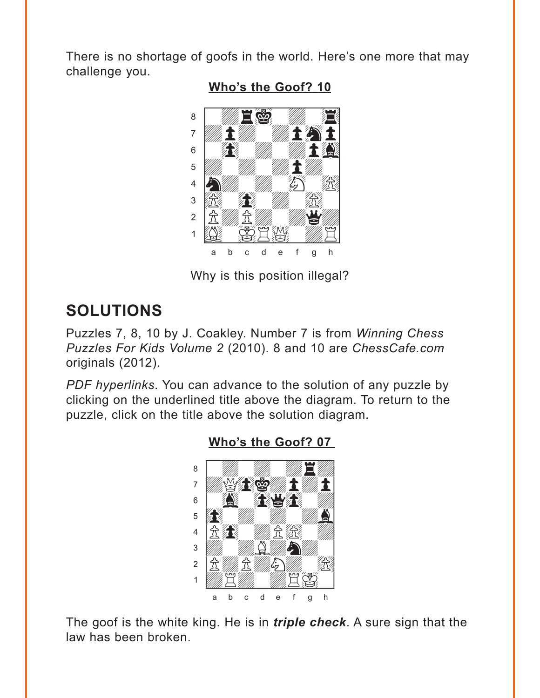<span id="page-2-0"></span>There is no shortage of goofs in the world. Here's one more that may challenge you.



Who's the Goof? 10

Why is this position illegal?

## **SOLUTIONS**

Puzzles 7, 8, 10 by J. Coakley. Number 7 is from Winning Chess Puzzles For Kids Volume 2 (2010). 8 and 10 are ChessCafe.com originals (2012).

PDF hyperlinks. You can advance to the solution of any puzzle by clicking on the underlined title above the diagram. To return to the puzzle, click on the title above the solution diagram.



The goof is the white king. He is in *triple check*. A sure sign that the law has been broken.

Who's the Goof? 07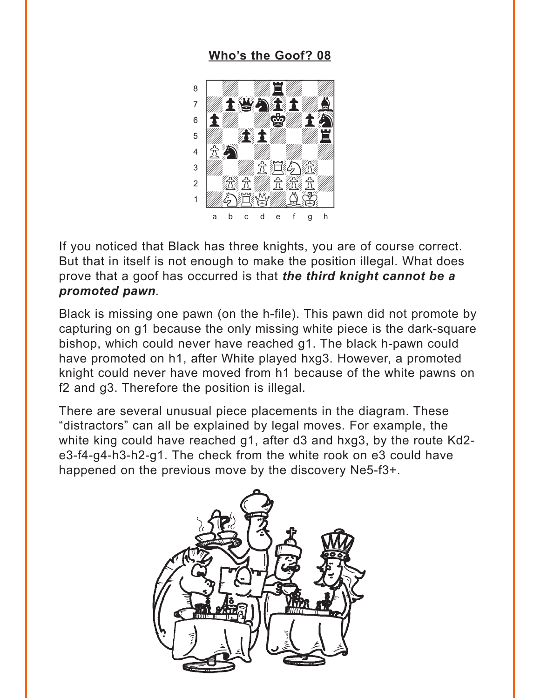### Who's the Goof? 08

<span id="page-3-0"></span>

If you noticed that Black has three knights, you are of course correct. But that in itself is not enough to make the position illegal. What does prove that a goof has occurred is that the third knight cannot be a promoted pawn.

Black is missing one pawn (on the h-file). This pawn did not promote by capturing on g1 because the only missing white piece is the dark-square bishop, which could never have reached g1. The black h-pawn could have promoted on h1, after White played hxg3. However, a promoted knight could never have moved from h1 because of the white pawns on f2 and q3. Therefore the position is illegal.

There are several unusual piece placements in the diagram. These "distractors" can all be explained by legal moves. For example, the white king could have reached g1, after d3 and hxg3, by the route Kd2e3-f4-g4-h3-h2-g1. The check from the white rook on e3 could have happened on the previous move by the discovery Ne5-f3+.

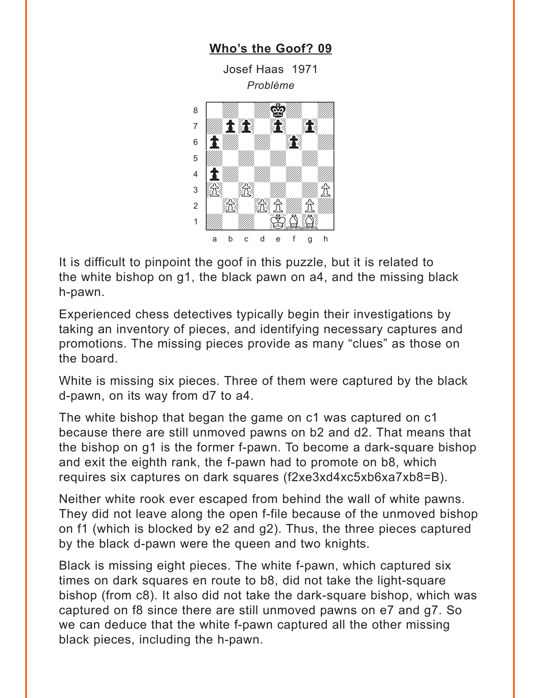<span id="page-4-0"></span>

It is difficult to pinpoint the goof in this puzzle, but it is related to the white bishop on q1, the black pawn on a4, and the missing black h-pawn.

Experienced chess detectives typically begin their investigations by taking an inventory of pieces, and identifying necessary captures and promotions. The missing pieces provide as many "clues" as those on the board.

White is missing six pieces. Three of them were captured by the black d-pawn, on its way from d7 to a4.

The white bishop that began the game on c1 was captured on c1 because there are still unmoved pawns on b2 and d2. That means that the bishop on q1 is the former f-pawn. To become a dark-square bishop and exit the eighth rank, the f-pawn had to promote on b8, which requires six captures on dark squares (f2xe3xd4xc5xb6xa7xb8=B).

Neither white rook ever escaped from behind the wall of white pawns. They did not leave along the open f-file because of the unmoved bishop on f1 (which is blocked by e2 and q2). Thus, the three pieces captured by the black d-pawn were the queen and two knights.

Black is missing eight pieces. The white f-pawn, which captured six times on dark squares en route to b8, did not take the light-square bishop (from c8). It also did not take the dark-square bishop, which was captured on f8 since there are still unmoved pawns on e7 and g7. So we can deduce that the white f-pawn captured all the other missing black pieces, including the h-pawn.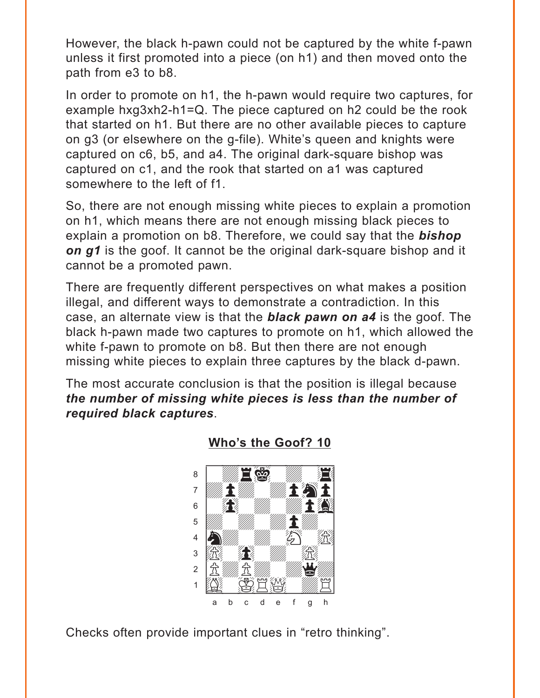<span id="page-5-0"></span>However, the black h-pawn could not be captured by the white f-pawn unless it first promoted into a piece (on h1) and then moved onto the path from e3 to b8.

In order to promote on h1, the h-pawn would require two captures, for example hxg3xh2-h1=Q. The piece captured on h2 could be the rook that started on h1. But there are no other available pieces to capture on g3 (or elsewhere on the g-file). White's queen and knights were captured on c6, b5, and a4. The original dark-square bishop was captured on c1, and the rook that started on a1 was captured somewhere to the left of f1.

So, there are not enough missing white pieces to explain a promotion on h1, which means there are not enough missing black pieces to explain a promotion on b8. Therefore, we could say that the *bishop on g1* is the goof. It cannot be the original dark-square bishop and it cannot be a promoted pawn.

There are frequently different perspectives on what makes a position illegal, and different ways to demonstrate a contradiction. In this case, an alternate view is that the *black pawn on a4* is the goof. The black h-pawn made two captures to promote on h1, which allowed the white f-pawn to promote on b8. But then there are not enough missing white pieces to explain three captures by the black d-pawn.

The most accurate conclusion is that the position is illegal because *the number of missing white pieces is less than the number of required black captures*.



#### **[Who's the Goof? 10](#page-2-0)**

Checks often provide important clues in "retro thinking".